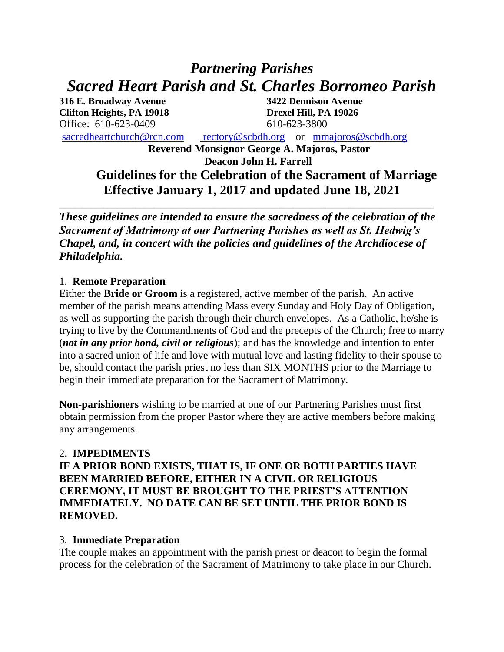# *Partnering Parishes Sacred Heart Parish and St. Charles Borromeo Parish*

**316 E. Broadway Avenue 3422 Dennison Avenue Clifton Heights, PA 19018 Drexel Hill, PA 19026** Office: 610-623-0409 610-623-3800

[sacredheartchurch@rcn.com](mailto:sacredheartchurch@rcn.com) [rectory@scbdh.org](mailto:rectory@scbdh.org) or [mmajoros@scbdh.org](mailto:mmajoros@scbdh.org)

**Reverend Monsignor George A. Majoros, Pastor Deacon John H. Farrell**

# **Guidelines for the Celebration of the Sacrament of Marriage Effective January 1, 2017 and updated June 18, 2021**

*These guidelines are intended to ensure the sacredness of the celebration of the Sacrament of Matrimony at our Partnering Parishes as well as St. Hedwig's Chapel, and, in concert with the policies and guidelines of the Archdiocese of Philadelphia.*

\_\_\_\_\_\_\_\_\_\_\_\_\_\_\_\_\_\_\_\_\_\_\_\_\_\_\_\_\_\_\_\_\_\_\_\_\_\_\_\_\_\_\_\_\_\_\_\_\_\_\_\_\_\_\_\_\_\_\_\_\_\_\_\_\_\_\_\_\_\_

## 1. **Remote Preparation**

Either the **Bride or Groom** is a registered, active member of the parish. An active member of the parish means attending Mass every Sunday and Holy Day of Obligation, as well as supporting the parish through their church envelopes. As a Catholic, he/she is trying to live by the Commandments of God and the precepts of the Church; free to marry (*not in any prior bond, civil or religious*); and has the knowledge and intention to enter into a sacred union of life and love with mutual love and lasting fidelity to their spouse to be, should contact the parish priest no less than SIX MONTHS prior to the Marriage to begin their immediate preparation for the Sacrament of Matrimony.

**Non-parishioners** wishing to be married at one of our Partnering Parishes must first obtain permission from the proper Pastor where they are active members before making any arrangements.

# 2**. IMPEDIMENTS**

**IF A PRIOR BOND EXISTS, THAT IS, IF ONE OR BOTH PARTIES HAVE BEEN MARRIED BEFORE, EITHER IN A CIVIL OR RELIGIOUS CEREMONY, IT MUST BE BROUGHT TO THE PRIEST'S ATTENTION IMMEDIATELY. NO DATE CAN BE SET UNTIL THE PRIOR BOND IS REMOVED.**

# 3. **Immediate Preparation**

The couple makes an appointment with the parish priest or deacon to begin the formal process for the celebration of the Sacrament of Matrimony to take place in our Church.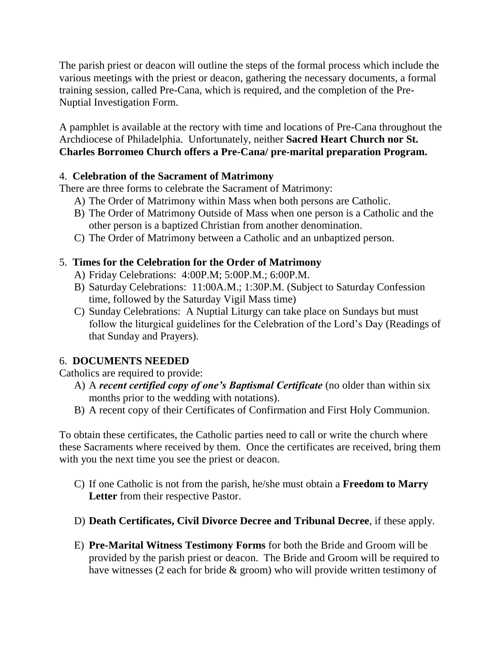The parish priest or deacon will outline the steps of the formal process which include the various meetings with the priest or deacon, gathering the necessary documents, a formal training session, called Pre-Cana, which is required, and the completion of the Pre-Nuptial Investigation Form.

A pamphlet is available at the rectory with time and locations of Pre-Cana throughout the Archdiocese of Philadelphia. Unfortunately, neither **Sacred Heart Church nor St. Charles Borromeo Church offers a Pre-Cana/ pre-marital preparation Program.**

## 4. **Celebration of the Sacrament of Matrimony**

There are three forms to celebrate the Sacrament of Matrimony:

- A) The Order of Matrimony within Mass when both persons are Catholic.
- B) The Order of Matrimony Outside of Mass when one person is a Catholic and the other person is a baptized Christian from another denomination.
- C) The Order of Matrimony between a Catholic and an unbaptized person.

# 5. **Times for the Celebration for the Order of Matrimony**

- A) Friday Celebrations: 4:00P.M; 5:00P.M.; 6:00P.M.
- B) Saturday Celebrations: 11:00A.M.; 1:30P.M. (Subject to Saturday Confession time, followed by the Saturday Vigil Mass time)
- C) Sunday Celebrations: A Nuptial Liturgy can take place on Sundays but must follow the liturgical guidelines for the Celebration of the Lord's Day (Readings of that Sunday and Prayers).

# 6. **DOCUMENTS NEEDED**

Catholics are required to provide:

- A) A *recent certified copy of one's Baptismal Certificate* (no older than within six months prior to the wedding with notations).
- B) A recent copy of their Certificates of Confirmation and First Holy Communion.

To obtain these certificates, the Catholic parties need to call or write the church where these Sacraments where received by them. Once the certificates are received, bring them with you the next time you see the priest or deacon.

- C) If one Catholic is not from the parish, he/she must obtain a **Freedom to Marry Letter** from their respective Pastor.
- D) **Death Certificates, Civil Divorce Decree and Tribunal Decree**, if these apply.
- E) **Pre-Marital Witness Testimony Forms** for both the Bride and Groom will be provided by the parish priest or deacon. The Bride and Groom will be required to have witnesses (2 each for bride & groom) who will provide written testimony of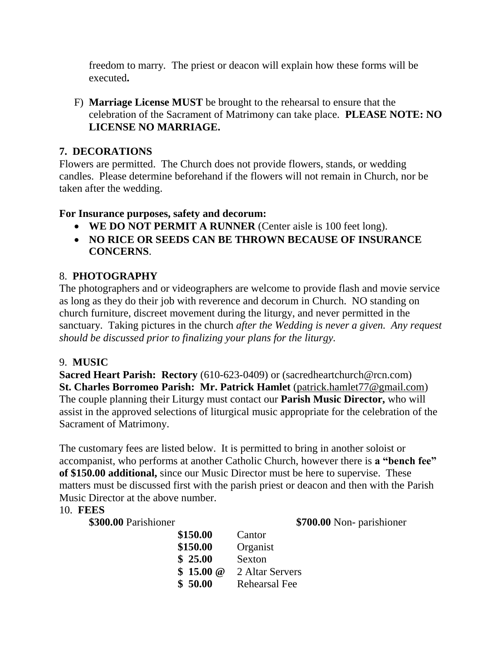freedom to marry. The priest or deacon will explain how these forms will be executed**.**

F) **Marriage License MUST** be brought to the rehearsal to ensure that the celebration of the Sacrament of Matrimony can take place. **PLEASE NOTE: NO LICENSE NO MARRIAGE.**

## **7. DECORATIONS**

Flowers are permitted. The Church does not provide flowers, stands, or wedding candles. Please determine beforehand if the flowers will not remain in Church, nor be taken after the wedding.

## **For Insurance purposes, safety and decorum:**

- **WE DO NOT PERMIT A RUNNER** (Center aisle is 100 feet long).
- **NO RICE OR SEEDS CAN BE THROWN BECAUSE OF INSURANCE CONCERNS**.

# 8. **PHOTOGRAPHY**

The photographers and or videographers are welcome to provide flash and movie service as long as they do their job with reverence and decorum in Church. NO standing on church furniture, discreet movement during the liturgy, and never permitted in the sanctuary. Taking pictures in the church *after the Wedding is never a given. Any request should be discussed prior to finalizing your plans for the liturgy.*

#### 9. **MUSIC**

**Sacred Heart Parish: Rectory** (610-623-0409) or (sacredheartchurch@rcn.com) **St. Charles Borromeo Parish: Mr. Patrick Hamlet** [\(patrick.hamlet77@gmail.com\)](mailto:patrick.hamlet77@gmail.com) The couple planning their Liturgy must contact our **Parish Music Director,** who will assist in the approved selections of liturgical music appropriate for the celebration of the Sacrament of Matrimony.

The customary fees are listed below. It is permitted to bring in another soloist or accompanist, who performs at another Catholic Church, however there is **a "bench fee" of \$150.00 additional,** since our Music Director must be here to supervise. These matters must be discussed first with the parish priest or deacon and then with the Parish Music Director at the above number.

#### 10. **FEES**

**\$300.00** Parishioner **\$700.00** Non- parishioner

| \$150.00 | Cantor               |
|----------|----------------------|
| \$150.00 | Organist             |
| \$25.00  | Sexton               |
| \$15.00@ | 2 Altar Servers      |
| \$50.00  | <b>Rehearsal Fee</b> |
|          |                      |